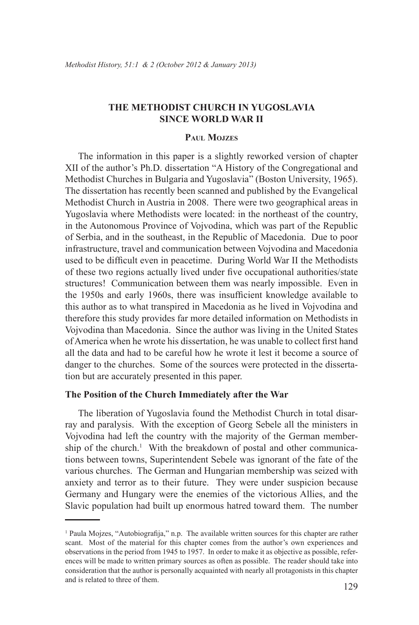# **THE METHODIST CHURCH IN YUGOSLAVIA SINCE WORLD WAR II**

## **Paul Mojzes**

The information in this paper is a slightly reworked version of chapter XII of the author's Ph.D. dissertation "A History of the Congregational and Methodist Churches in Bulgaria and Yugoslavia" (Boston University, 1965). The dissertation has recently been scanned and published by the Evangelical Methodist Church in Austria in 2008. There were two geographical areas in Yugoslavia where Methodists were located: in the northeast of the country, in the Autonomous Province of Vojvodina, which was part of the Republic of Serbia, and in the southeast, in the Republic of Macedonia. Due to poor infrastructure, travel and communication between Vojvodina and Macedonia used to be difficult even in peacetime. During World War II the Methodists of these two regions actually lived under five occupational authorities/state structures! Communication between them was nearly impossible. Even in the 1950s and early 1960s, there was insufficient knowledge available to this author as to what transpired in Macedonia as he lived in Vojvodina and therefore this study provides far more detailed information on Methodists in Vojvodina than Macedonia. Since the author was living in the United States of America when he wrote his dissertation, he was unable to collect first hand all the data and had to be careful how he wrote it lest it become a source of danger to the churches. Some of the sources were protected in the dissertation but are accurately presented in this paper.

#### **The Position of the Church Immediately after the War**

The liberation of Yugoslavia found the Methodist Church in total disarray and paralysis. With the exception of Georg Sebele all the ministers in Vojvodina had left the country with the majority of the German membership of the church.<sup>1</sup> With the breakdown of postal and other communications between towns, Superintendent Sebele was ignorant of the fate of the various churches. The German and Hungarian membership was seized with anxiety and terror as to their future. They were under suspicion because Germany and Hungary were the enemies of the victorious Allies, and the Slavic population had built up enormous hatred toward them. The number

<sup>1</sup> Paula Mojzes, "Autobiografija," n.p. The available written sources for this chapter are rather scant. Most of the material for this chapter comes from the author's own experiences and observations in the period from 1945 to 1957. In order to make it as objective as possible, references will be made to written primary sources as often as possible. The reader should take into consideration that the author is personally acquainted with nearly all protagonists in this chapter and is related to three of them.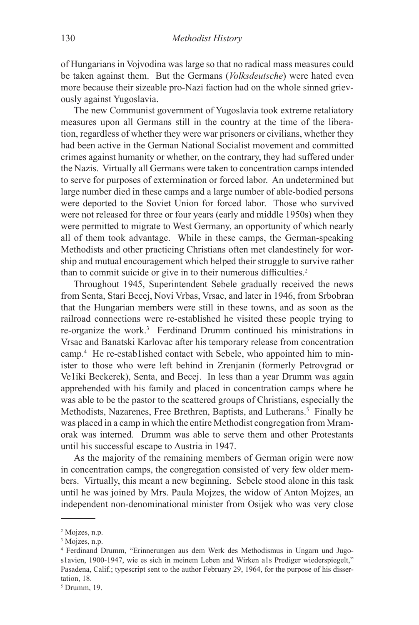of Hungarians in Vojvodina was large so that no radical mass measures could be taken against them. But the Germans (*Volksdeutsche*) were hated even more because their sizeable pro-Nazi faction had on the whole sinned grievously against Yugoslavia.

The new Communist government of Yugoslavia took extreme retaliatory measures upon all Germans still in the country at the time of the liberation, regardless of whether they were war prisoners or civilians, whether they had been active in the German National Socialist movement and committed crimes against humanity or whether, on the contrary, they had suffered under the Nazis. Virtually all Germans were taken to concentration camps intended to serve for purposes of extermination or forced labor. An undetermined but large number died in these camps and a large number of able-bodied persons were deported to the Soviet Union for forced labor. Those who survived were not released for three or four years (early and middle 1950s) when they were permitted to migrate to West Germany, an opportunity of which nearly all of them took advantage. While in these camps, the German-speaking Methodists and other practicing Christians often met clandestinely for worship and mutual encouragement which helped their struggle to survive rather than to commit suicide or give in to their numerous difficulties.<sup>2</sup>

Throughout 1945, Superintendent Sebele gradually received the news from Senta, Stari Becej, Novi Vrbas, Vrsac, and later in 1946, from Srbobran that the Hungarian members were still in these towns, and as soon as the railroad connections were re-established he visited these people trying to re-organize the work.<sup>3</sup> Ferdinand Drumm continued his ministrations in Vrsac and Banatski Karlovac after his temporary release from concentration camp.4 He re-estab1ished contact with Sebele, who appointed him to minister to those who were left behind in Zrenjanin (formerly Petrovgrad or Ve1iki Beckerek), Senta, and Becej. In less than a year Drumm was again apprehended with his family and placed in concentration camps where he was able to be the pastor to the scattered groups of Christians, especially the Methodists, Nazarenes, Free Brethren, Baptists, and Lutherans.<sup>5</sup> Finally he was placed in a camp in which the entire Methodist congregation from Mramorak was interned. Drumm was able to serve them and other Protestants until his successful escape to Austria in 1947.

As the majority of the remaining members of German origin were now in concentration camps, the congregation consisted of very few older members. Virtually, this meant a new beginning. Sebele stood alone in this task until he was joined by Mrs. Paula Mojzes, the widow of Anton Mojzes, an independent non-denominational minister from Osijek who was very close

<sup>2</sup> Mojzes, n.p.

<sup>3</sup> Mojzes, n.p.

<sup>4</sup> Ferdinand Drumm, "Erinnerungen aus dem Werk des Methodismus in Ungarn und Jugos1avien, 1900-1947, wie es sich in meinem Leben and Wirken a1s Prediger wiederspiegelt," Pasadena, Calif.; typescript sent to the author February 29, 1964, for the purpose of his dissertation, 18.

<sup>5</sup> Drumm, 19.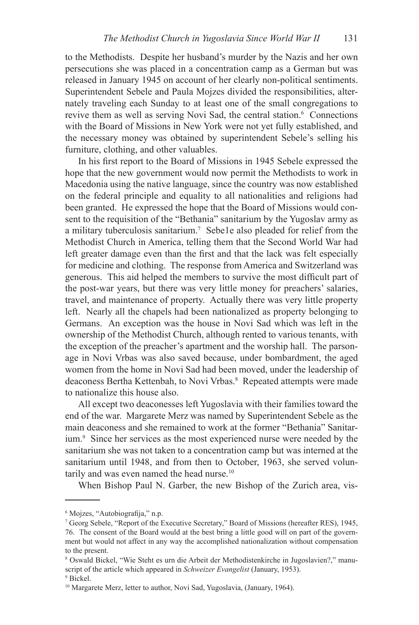to the Methodists. Despite her husband's murder by the Nazis and her own persecutions she was placed in a concentration camp as a German but was released in January 1945 on account of her clearly non-political sentiments. Superintendent Sebele and Paula Mojzes divided the responsibilities, alternately traveling each Sunday to at least one of the small congregations to revive them as well as serving Novi Sad, the central station.<sup>6</sup> Connections with the Board of Missions in New York were not yet fully established, and the necessary money was obtained by superintendent Sebele's selling his furniture, clothing, and other valuables.

In his first report to the Board of Missions in 1945 Sebele expressed the hope that the new government would now permit the Methodists to work in Macedonia using the native language, since the country was now established on the federal principle and equality to all nationalities and religions had been granted. He expressed the hope that the Board of Missions would consent to the requisition of the "Bethania" sanitarium by the Yugoslav army as a military tuberculosis sanitarium.<sup>7</sup> Sebe1e also pleaded for relief from the Methodist Church in America, telling them that the Second World War had left greater damage even than the first and that the lack was felt especially for medicine and clothing. The response from America and Switzerland was generous. This aid helped the members to survive the most difficult part of the post-war years, but there was very little money for preachers' salaries, travel, and maintenance of property. Actually there was very little property left. Nearly all the chapels had been nationalized as property belonging to Germans. An exception was the house in Novi Sad which was left in the ownership of the Methodist Church, although rented to various tenants, with the exception of the preacher's apartment and the worship hall. The parsonage in Novi Vrbas was also saved because, under bombardment, the aged women from the home in Novi Sad had been moved, under the leadership of deaconess Bertha Kettenbah, to Novi Vrbas.<sup>8</sup> Repeated attempts were made to nationalize this house also.

All except two deaconesses left Yugoslavia with their families toward the end of the war. Margarete Merz was named by Superintendent Sebele as the main deaconess and she remained to work at the former "Bethania" Sanitarium.<sup>9</sup> Since her services as the most experienced nurse were needed by the sanitarium she was not taken to a concentration camp but was interned at the sanitarium until 1948, and from then to October, 1963, she served voluntarily and was even named the head nurse.<sup>10</sup>

When Bishop Paul N. Garber, the new Bishop of the Zurich area, vis-

9 Bickel.

<sup>6</sup> Mojzes, "Autobiografija," n.p.

<sup>7</sup> Georg Sebele, "Report of the Executive Secretary," Board of Missions (hereafter RES), 1945, 76. The consent of the Board would at the best bring a little good will on part of the government but would not affect in any way the accomplished nationalization without compensation to the present.

<sup>8</sup> Oswald Bickel, "Wie Steht es urn die Arbeit der Methodistenkirche in Jugoslavien?," manuscript of the article which appeared in *Schweizer Evangelist* (January, 1953).

<sup>&</sup>lt;sup>10</sup> Margarete Merz, letter to author, Novi Sad, Yugoslavia, (January, 1964).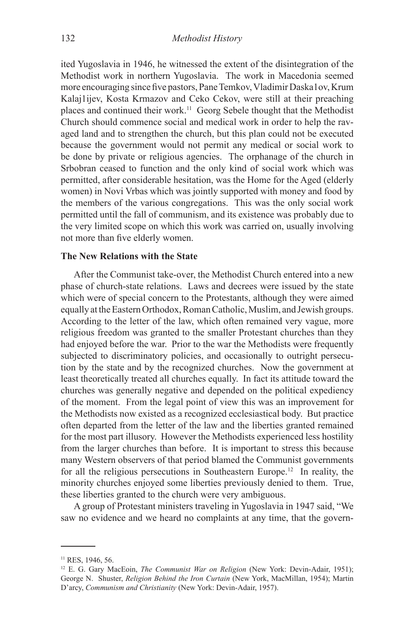ited Yugoslavia in 1946, he witnessed the extent of the disintegration of the Methodist work in northern Yugoslavia. The work in Macedonia seemed more encouraging since five pastors, Pane Temkov, Vladimir Daska1ov, Krum Kalaj1ijev, Kosta Krmazov and Ceko Cekov, were still at their preaching places and continued their work.11 Georg Sebele thought that the Methodist Church should commence social and medical work in order to help the ravaged land and to strengthen the church, but this plan could not be executed because the government would not permit any medical or social work to be done by private or religious agencies. The orphanage of the church in Srbobran ceased to function and the only kind of social work which was permitted, after considerable hesitation, was the Home for the Aged (elderly women) in Novi Vrbas which was jointly supported with money and food by the members of the various congregations. This was the only social work permitted until the fall of communism, and its existence was probably due to the very limited scope on which this work was carried on, usually involving not more than five elderly women.

#### **The New Relations with the State**

After the Communist take-over, the Methodist Church entered into a new phase of church-state relations. Laws and decrees were issued by the state which were of special concern to the Protestants, although they were aimed equally at the Eastern Orthodox, Roman Catholic, Muslim, and Jewish groups. According to the letter of the law, which often remained very vague, more religious freedom was granted to the smaller Protestant churches than they had enjoyed before the war. Prior to the war the Methodists were frequently subjected to discriminatory policies, and occasionally to outright persecution by the state and by the recognized churches. Now the government at least theoretically treated all churches equally. In fact its attitude toward the churches was generally negative and depended on the political expediency of the moment. From the legal point of view this was an improvement for the Methodists now existed as a recognized ecclesiastical body. But practice often departed from the letter of the law and the liberties granted remained for the most part illusory. However the Methodists experienced less hostility from the larger churches than before. It is important to stress this because many Western observers of that period blamed the Communist governments for all the religious persecutions in Southeastern Europe.12 In reality, the minority churches enjoyed some liberties previously denied to them. True, these liberties granted to the church were very ambiguous.

A group of Protestant ministers traveling in Yugoslavia in 1947 said, "We saw no evidence and we heard no complaints at any time, that the govern-

<sup>&</sup>lt;sup>11</sup> RES, 1946, 56.

<sup>12</sup> E. G. Gary MacEoin, *The Communist War on Religion* (New York: Devin-Adair, 1951); George N. Shuster, *Religion Behind the Iron Curtain* (New York, MacMillan, 1954); Martin D'arcy, *Communism and Christianity* (New York: Devin-Adair, 1957).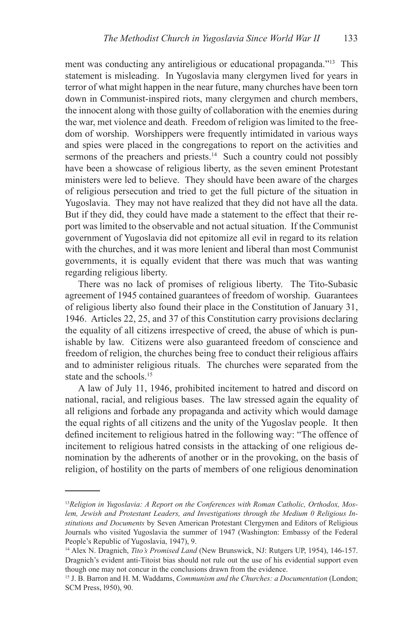ment was conducting any antireligious or educational propaganda."13 This statement is misleading. In Yugoslavia many clergymen lived for years in terror of what might happen in the near future, many churches have been torn down in Communist-inspired riots, many clergymen and church members, the innocent along with those guilty of collaboration with the enemies during the war, met violence and death. Freedom of religion was limited to the freedom of worship. Worshippers were frequently intimidated in various ways and spies were placed in the congregations to report on the activities and sermons of the preachers and priests.<sup>14</sup> Such a country could not possibly have been a showcase of religious liberty, as the seven eminent Protestant ministers were led to believe. They should have been aware of the charges of religious persecution and tried to get the full picture of the situation in Yugoslavia. They may not have realized that they did not have all the data. But if they did, they could have made a statement to the effect that their report was limited to the observable and not actual situation. If the Communist government of Yugoslavia did not epitomize all evil in regard to its relation with the churches, and it was more lenient and liberal than most Communist governments, it is equally evident that there was much that was wanting regarding religious liberty.

There was no lack of promises of religious liberty. The Tito-Subasic agreement of 1945 contained guarantees of freedom of worship. Guarantees of religious liberty also found their place in the Constitution of January 31, 1946. Articles 22, 25, and 37 of this Constitution carry provisions declaring the equality of all citizens irrespective of creed, the abuse of which is punishable by law. Citizens were also guaranteed freedom of conscience and freedom of religion, the churches being free to conduct their religious affairs and to administer religious rituals. The churches were separated from the state and the schools.<sup>15</sup>

A law of July 11, 1946, prohibited incitement to hatred and discord on national, racial, and religious bases. The law stressed again the equality of all religions and forbade any propaganda and activity which would damage the equal rights of all citizens and the unity of the Yugoslav people. It then defined incitement to religious hatred in the following way: "The offence of incitement to religious hatred consists in the attacking of one religious denomination by the adherents of another or in the provoking, on the basis of religion, of hostility on the parts of members of one religious denomination

<sup>13</sup>*Religion in Yugoslavia: A Report on the Conferences with Roman Catholic, Orthodox, Moslem, Jewish and Protestant Leaders, and Investigations through the Medium 0 Religious Institutions and Documents* by Seven American Protestant Clergymen and Editors of Religious Journals who visited Yugoslavia the summer of 1947 (Washington: Embassy of the Federal People's Republic of Yugoslavia, 1947), 9.

<sup>14</sup> Alex N. Dragnich, *Tito's Promised Land* (New Brunswick, NJ: Rutgers UP, 1954), 146-157. Dragnich's evident anti-Titoist bias should not rule out the use of his evidential support even though one may not concur in the conclusions drawn from the evidence.

<sup>15</sup> J. B. Barron and H. M. Waddams, *Communism and the Churches: a Documentation* (London; SCM Press, l950), 90.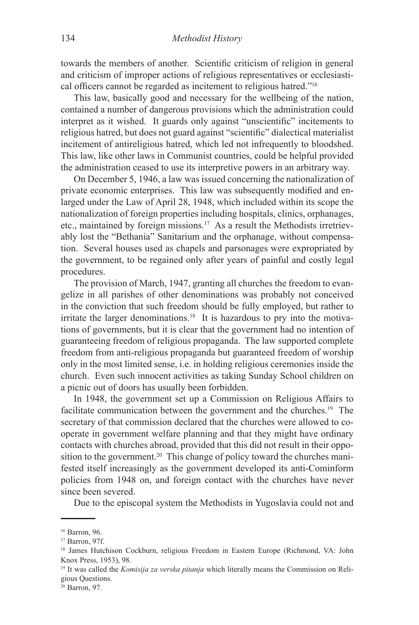towards the members of another. Scientific criticism of religion in general and criticism of improper actions of religious representatives or ecclesiastical officers cannot be regarded as incitement to religious hatred."<sup>16</sup>

This law, basically good and necessary for the wellbeing of the nation, contained a number of dangerous provisions which the administration could interpret as it wished. It guards only against "unscientific" incitements to religious hatred, but does not guard against "scientific" dialectical materialist incitement of antireligious hatred, which led not infrequently to bloodshed. This law, like other laws in Communist countries, could be helpful provided the administration ceased to use its interpretive powers in an arbitrary way.

On December 5, 1946, a law was issued concerning the nationalization of private economic enterprises. This law was subsequently modified and enlarged under the Law of April 28, 1948, which included within its scope the nationalization of foreign properties including hospitals, clinics, orphanages, etc., maintained by foreign missions.<sup>17</sup> As a result the Methodists irretrievably lost the "Bethania" Sanitarium and the orphanage, without compensation. Several houses used as chapels and parsonages were expropriated by the government, to be regained only after years of painful and costly legal procedures.

The provision of March, 1947, granting all churches the freedom to evangelize in all parishes of other denominations was probably not conceived in the conviction that such freedom should be fully employed, but rather to irritate the larger denominations.<sup>18</sup> It is hazardous to pry into the motivations of governments, but it is clear that the government had no intention of guaranteeing freedom of religious propaganda. The law supported complete freedom from anti-religious propaganda but guaranteed freedom of worship only in the most limited sense, i.e. in holding religious ceremonies inside the church. Even such innocent activities as taking Sunday School children on a picnic out of doors has usually been forbidden.

In 1948, the government set up a Commission on Religious Affairs to facilitate communication between the government and the churches.<sup>19</sup> The secretary of that commission declared that the churches were allowed to cooperate in government welfare planning and that they might have ordinary contacts with churches abroad, provided that this did not result in their opposition to the government.<sup>20</sup> This change of policy toward the churches manifested itself increasingly as the government developed its anti-Cominform policies from 1948 on, and foreign contact with the churches have never since been severed.

Due to the episcopal system the Methodists in Yugoslavia could not and

<sup>16</sup> Barron, 96.

<sup>17</sup> Barron, 97f.

<sup>&</sup>lt;sup>18</sup> James Hutchison Cockburn, religious Freedom in Eastern Europe (Richmond, VA: John Knox Press, 1953), 98.

<sup>19</sup> It was called the *Komisija za verska pitanja* which literally means the Commission on Religious Questions.

<sup>&</sup>lt;sup>20</sup> Barron, 97.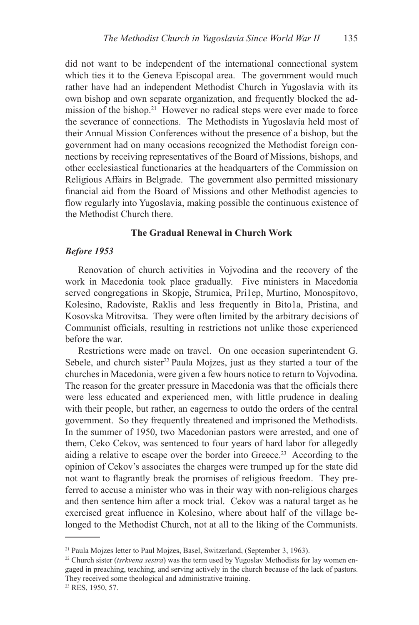did not want to be independent of the international connectional system which ties it to the Geneva Episcopal area. The government would much rather have had an independent Methodist Church in Yugoslavia with its own bishop and own separate organization, and frequently blocked the admission of the bishop.<sup>21</sup> However no radical steps were ever made to force the severance of connections. The Methodists in Yugoslavia held most of their Annual Mission Conferences without the presence of a bishop, but the government had on many occasions recognized the Methodist foreign connections by receiving representatives of the Board of Missions, bishops, and other ecclesiastical functionaries at the headquarters of the Commission on Religious Affairs in Belgrade. The government also permitted missionary financial aid from the Board of Missions and other Methodist agencies to flow regularly into Yugoslavia, making possible the continuous existence of the Methodist Church there.

### **The Gradual Renewal in Church Work**

### *Before 1953*

Renovation of church activities in Vojvodina and the recovery of the work in Macedonia took place gradually. Five ministers in Macedonia served congregations in Skopje, Strumica, Pri1ep, Murtino, Monospitovo, Kolesino, Radoviste, Raklis and less frequently in Bito1a, Pristina, and Kosovska Mitrovitsa. They were often limited by the arbitrary decisions of Communist officials, resulting in restrictions not unlike those experienced before the war.

Restrictions were made on travel. On one occasion superintendent G. Sebele, and church sister<sup>22</sup> Paula Mojzes, just as they started a tour of the churches in Macedonia, were given a few hours notice to return to Vojvodina. The reason for the greater pressure in Macedonia was that the officials there were less educated and experienced men, with little prudence in dealing with their people, but rather, an eagerness to outdo the orders of the central government. So they frequently threatened and imprisoned the Methodists. In the summer of 1950, two Macedonian pastors were arrested, and one of them, Ceko Cekov, was sentenced to four years of hard labor for allegedly aiding a relative to escape over the border into Greece.<sup>23</sup> According to the opinion of Cekov's associates the charges were trumped up for the state did not want to flagrantly break the promises of religious freedom. They preferred to accuse a minister who was in their way with non-religious charges and then sentence him after a mock trial. Cekov was a natural target as he exercised great influence in Kolesino, where about half of the village belonged to the Methodist Church, not at all to the liking of the Communists.

<sup>&</sup>lt;sup>21</sup> Paula Mojzes letter to Paul Mojzes, Basel, Switzerland, (September 3, 1963).

<sup>&</sup>lt;sup>22</sup> Church sister (*tsrkvena sestra*) was the term used by Yugoslav Methodists for lay women engaged in preaching, teaching, and serving actively in the church because of the lack of pastors. They received some theological and administrative training.

<sup>23</sup> RES, 1950, 57.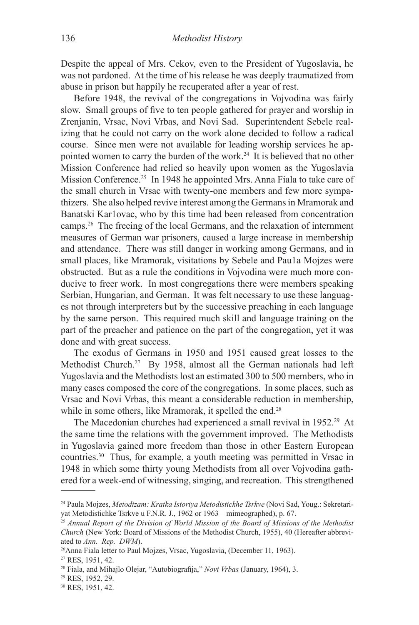Despite the appeal of Mrs. Cekov, even to the President of Yugoslavia, he was not pardoned. At the time of his release he was deeply traumatized from abuse in prison but happily he recuperated after a year of rest.

Before 1948, the revival of the congregations in Vojvodina was fairly slow. Small groups of five to ten people gathered for prayer and worship in Zrenjanin, Vrsac, Novi Vrbas, and Novi Sad. Superintendent Sebele realizing that he could not carry on the work alone decided to follow a radical course. Since men were not available for leading worship services he appointed women to carry the burden of the work.24 It is believed that no other Mission Conference had relied so heavily upon women as the Yugoslavia Mission Conference.<sup>25</sup> In 1948 he appointed Mrs. Anna Fiala to take care of the small church in Vrsac with twenty-one members and few more sympathizers. She also helped revive interest among the Germans in Mramorak and Banatski Kar1ovac, who by this time had been released from concentration camps.26 The freeing of the local Germans, and the relaxation of internment measures of German war prisoners, caused a large increase in membership and attendance. There was still danger in working among Germans, and in small places, like Mramorak, visitations by Sebele and Pau1a Mojzes were obstructed. But as a rule the conditions in Vojvodina were much more conducive to freer work. In most congregations there were members speaking Serbian, Hungarian, and German. It was felt necessary to use these languages not through interpreters but by the successive preaching in each language by the same person. This required much skill and language training on the part of the preacher and patience on the part of the congregation, yet it was done and with great success.

The exodus of Germans in 1950 and 1951 caused great losses to the Methodist Church.<sup>27</sup> By 1958, almost all the German nationals had left Yugoslavia and the Methodists lost an estimated 300 to 500 members, who in many cases composed the core of the congregations. In some places, such as Vrsac and Novi Vrbas, this meant a considerable reduction in membership, while in some others, like Mramorak, it spelled the end.<sup>28</sup>

The Macedonian churches had experienced a small revival in 1952.<sup>29</sup> At the same time the relations with the government improved. The Methodists in Yugoslavia gained more freedom than those in other Eastern European countries.30 Thus, for example, a youth meeting was permitted in Vrsac in 1948 in which some thirty young Methodists from all over Vojvodina gathered for a week-end of witnessing, singing, and recreation. This strengthened

<sup>24</sup> Paula Mojzes, *Metodizam: Kratka Istoriya Metodistickhe Tsrkve* (Novi Sad, Youg.: Sekretariyat Metodistichke Tsrkve u F.N.R. J., 1962 or 1963—mimeographed), p. 67.

<sup>25</sup> *Annual Report of the Division of World Mission of the Board of Missions of the Methodist Church* (New York: Board of Missions of the Methodist Church, 1955), 40 (Hereafter abbreviated to *Ann. Rep. DWM*).

<sup>&</sup>lt;sup>26</sup>Anna Fiala letter to Paul Mojzes, Vrsac, Yugoslavia, (December 11, 1963).

<sup>27</sup> RES, 1951, 42.

<sup>28</sup> Fiala, and Mihajlo Olejar, "Autobiografija," *Novi Vrbas* (January, 1964), 3.

<sup>29</sup> RES, 1952, 29.

<sup>30</sup> RES, 1951, 42.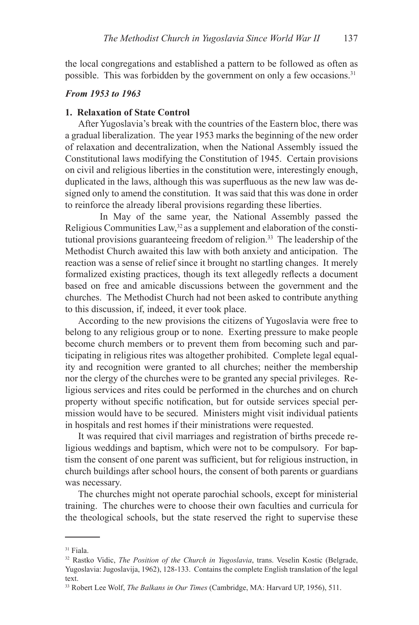the local congregations and established a pattern to be followed as often as possible. This was forbidden by the government on only a few occasions.<sup>31</sup>

# *From 1953 to 1963*

#### **1. Relaxation of State Control**

After Yugoslavia's break with the countries of the Eastern bloc, there was a gradual liberalization. The year 1953 marks the beginning of the new order of relaxation and decentralization, when the National Assembly issued the Constitutional laws modifying the Constitution of 1945. Certain provisions on civil and religious liberties in the constitution were, interestingly enough, duplicated in the laws, although this was superfluous as the new law was designed only to amend the constitution. It was said that this was done in order to reinforce the already liberal provisions regarding these liberties.

In May of the same year, the National Assembly passed the Religious Communities Law,  $32$  as a supplement and elaboration of the constitutional provisions guaranteeing freedom of religion.<sup>33</sup> The leadership of the Methodist Church awaited this law with both anxiety and anticipation. The reaction was a sense of relief since it brought no startling changes. It merely formalized existing practices, though its text allegedly reflects a document based on free and amicable discussions between the government and the churches. The Methodist Church had not been asked to contribute anything to this discussion, if, indeed, it ever took place.

According to the new provisions the citizens of Yugoslavia were free to belong to any religious group or to none. Exerting pressure to make people become church members or to prevent them from becoming such and participating in religious rites was altogether prohibited. Complete legal equality and recognition were granted to all churches; neither the membership nor the clergy of the churches were to be granted any special privileges. Religious services and rites could be performed in the churches and on church property without specific notification, but for outside services special permission would have to be secured. Ministers might visit individual patients in hospitals and rest homes if their ministrations were requested.

It was required that civil marriages and registration of births precede religious weddings and baptism, which were not to be compulsory. For baptism the consent of one parent was sufficient, but for religious instruction, in church buildings after school hours, the consent of both parents or guardians was necessary.

The churches might not operate parochial schools, except for ministerial training. The churches were to choose their own faculties and curricula for the theological schools, but the state reserved the right to supervise these

<sup>31</sup> Fiala.

<sup>&</sup>lt;sup>32</sup> Rastko Vidic, *The Position of the Church in Yugoslavia*, trans. Veselin Kostic (Belgrade, Yugoslavia: Jugoslavija, 1962), 128-133. Contains the complete English translation of the legal text.

<sup>33</sup> Robert Lee Wolf, *The Balkans in Our Times* (Cambridge, MA: Harvard UP, 1956), 511.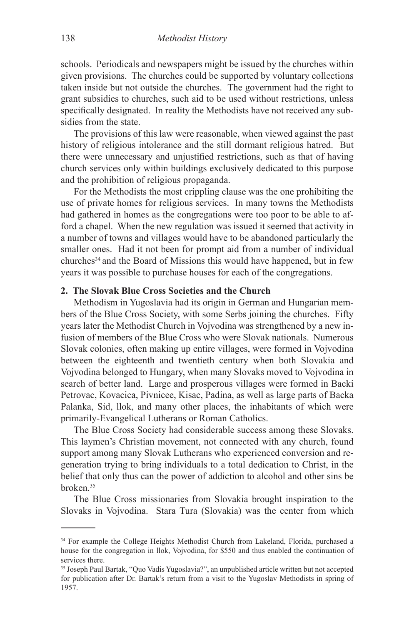schools. Periodicals and newspapers might be issued by the churches within given provisions. The churches could be supported by voluntary collections taken inside but not outside the churches. The government had the right to grant subsidies to churches, such aid to be used without restrictions, unless specifically designated. In reality the Methodists have not received any subsidies from the state.

The provisions of this law were reasonable, when viewed against the past history of religious intolerance and the still dormant religious hatred. But there were unnecessary and unjustified restrictions, such as that of having church services only within buildings exclusively dedicated to this purpose and the prohibition of religious propaganda.

For the Methodists the most crippling clause was the one prohibiting the use of private homes for religious services. In many towns the Methodists had gathered in homes as the congregations were too poor to be able to afford a chapel. When the new regulation was issued it seemed that activity in a number of towns and villages would have to be abandoned particularly the smaller ones. Had it not been for prompt aid from a number of individual churches<sup>34</sup> and the Board of Missions this would have happened, but in few years it was possible to purchase houses for each of the congregations.

## **2. The Slovak Blue Cross Societies and the Church**

Methodism in Yugoslavia had its origin in German and Hungarian members of the Blue Cross Society, with some Serbs joining the churches. Fifty years later the Methodist Church in Vojvodina was strengthened by a new infusion of members of the Blue Cross who were Slovak nationals. Numerous Slovak colonies, often making up entire villages, were formed in Vojvodina between the eighteenth and twentieth century when both Slovakia and Vojvodina belonged to Hungary, when many Slovaks moved to Vojvodina in search of better land. Large and prosperous villages were formed in Backi Petrovac, Kovacica, Pivnicee, Kisac, Padina, as well as large parts of Backa Palanka, Sid, llok, and many other places, the inhabitants of which were primarily-Evangelical Lutherans or Roman Catholics.

The Blue Cross Society had considerable success among these Slovaks. This laymen's Christian movement, not connected with any church, found support among many Slovak Lutherans who experienced conversion and regeneration trying to bring individuals to a total dedication to Christ, in the belief that only thus can the power of addiction to alcohol and other sins be broken.35

The Blue Cross missionaries from Slovakia brought inspiration to the Slovaks in Vojvodina. Stara Tura (Slovakia) was the center from which

<sup>&</sup>lt;sup>34</sup> For example the College Heights Methodist Church from Lakeland, Florida, purchased a house for the congregation in llok, Vojvodina, for \$550 and thus enabled the continuation of services there.

<sup>35</sup> Joseph Paul Bartak, "Quo Vadis Yugoslavia?", an unpublished article written but not accepted for publication after Dr. Bartak's return from a visit to the Yugoslav Methodists in spring of 1957.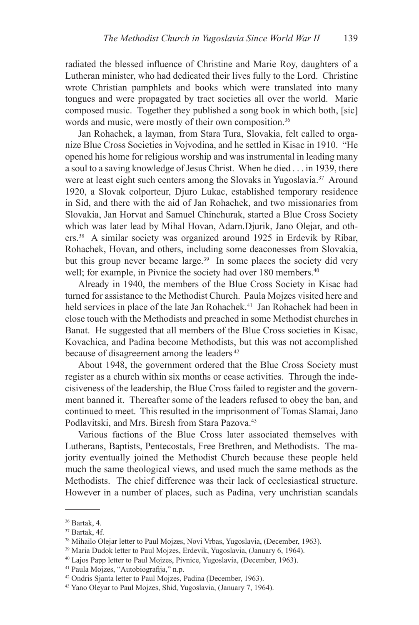radiated the blessed influence of Christine and Marie Roy, daughters of a Lutheran minister, who had dedicated their lives fully to the Lord. Christine wrote Christian pamphlets and books which were translated into many tongues and were propagated by tract societies all over the world. Marie composed music. Together they published a song book in which both, [sic] words and music, were mostly of their own composition.<sup>36</sup>

Jan Rohachek, a layman, from Stara Tura, Slovakia, felt called to organize Blue Cross Societies in Vojvodina, and he settled in Kisac in 1910. "He opened his home for religious worship and was instrumental in leading many a soul to a saving knowledge of Jesus Christ. When he died . . . in 1939, there were at least eight such centers among the Slovaks in Yugoslavia.<sup>37</sup> Around 1920, a Slovak colporteur, Djuro Lukac, established temporary residence in Sid, and there with the aid of Jan Rohachek, and two missionaries from Slovakia, Jan Horvat and Samuel Chinchurak, started a Blue Cross Society which was later lead by Mihal Hovan, Adarn.Djurik, Jano Olejar, and others.38 A similar society was organized around 1925 in Erdevik by Ribar, Rohachek, Hovan, and others, including some deaconesses from Slovakia, but this group never became large.<sup>39</sup> In some places the society did very well; for example, in Pivnice the society had over 180 members.<sup>40</sup>

Already in 1940, the members of the Blue Cross Society in Kisac had turned for assistance to the Methodist Church. Paula Mojzes visited here and held services in place of the late Jan Rohachek.<sup>41</sup> Jan Rohachek had been in close touch with the Methodists and preached in some Methodist churches in Banat. He suggested that all members of the Blue Cross societies in Kisac, Kovachica, and Padina become Methodists, but this was not accomplished because of disagreement among the leaders.<sup>42</sup>

About 1948, the government ordered that the Blue Cross Society must register as a church within six months or cease activities. Through the indecisiveness of the leadership, the Blue Cross failed to register and the government banned it. Thereafter some of the leaders refused to obey the ban, and continued to meet. This resulted in the imprisonment of Tomas Slamai, Jano Podlavitski, and Mrs. Biresh from Stara Pazova.<sup>43</sup>

Various factions of the Blue Cross later associated themselves with Lutherans, Baptists, Pentecostals, Free Brethren, and Methodists. The majority eventually joined the Methodist Church because these people held much the same theological views, and used much the same methods as the Methodists. The chief difference was their lack of ecclesiastical structure. However in a number of places, such as Padina, very unchristian scandals

<sup>36</sup> Bartak, 4.

<sup>37</sup> Bartak, 4f.

<sup>38</sup> Mihailo Olejar letter to Paul Mojzes, Novi Vrbas, Yugoslavia, (December, 1963).

<sup>39</sup> Maria Dudok letter to Paul Mojzes, Erdevik, Yugoslavia, (January 6, 1964).

<sup>40</sup> Lajos Papp letter to Paul Mojzes, Pivnice, Yugoslavia, (December, 1963).

<sup>41</sup> Paula Mojzes, "Autobiografija," n.p.

<sup>42</sup> Ondris Sjanta letter to Paul Mojzes, Padina (December, 1963).

<sup>43</sup> Yano Oleyar to Paul Mojzes, Shid, Yugoslavia, (January 7, 1964).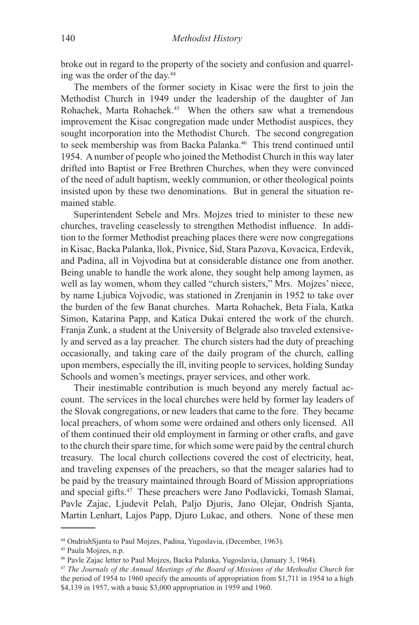broke out in regard to the property of the society and confusion and quarreling was the order of the day.44

The members of the former society in Kisac were the first to join the Methodist Church in 1949 under the leadership of the daughter of Jan Rohachek, Marta Rohachek.<sup>45</sup> When the others saw what a tremendous improvement the Kisac congregation made under Methodist auspices, they sought incorporation into the Methodist Church. The second congregation to seek membership was from Backa Palanka.<sup>46</sup> This trend continued until 1954. A number of people who joined the Methodist Church in this way later drifted into Baptist or Free Brethren Churches, when they were convinced of the need of adult baptism, weekly communion, or other theological points insisted upon by these two denominations. But in general the situation remained stable.

Superintendent Sebele and Mrs. Mojzes tried to minister to these new churches, traveling ceaselessly to strengthen Methodist influence. In addition to the former Methodist preaching places there were now congregations in Kisac, Backa Palanka, llok, Pivnice, Sid, Stara Pazova, Kovacica, Erdevik, and Padina, all in Vojvodina but at considerable distance one from another. Being unable to handle the work alone, they sought help among laymen, as well as lay women, whom they called "church sisters," Mrs. Mojzes' niece, by name Ljubica Vojvodic, was stationed in Zrenjanin in 1952 to take over the burden of the few Banat churches. Marta Rohachek, Beta Fiala, Katka Simon, Katarina Papp, and Katica Dukai entered the work of the church. Franja Zunk, a student at the University of Belgrade also traveled extensively and served as a lay preacher. The church sisters had the duty of preaching occasionally, and taking care of the daily program of the church, calling upon members, especially the ill, inviting people to services, holding Sunday-Schools and women's meetings, prayer services, and other work.

Their inestimable contribution is much beyond any merely factual account. The services in the local churches were held by former lay leaders of the Slovak congregations, or new leaders that came to the fore. They became local preachers, of whom some were ordained and others only licensed. All of them continued their old employment in farming or other crafts, and gave to the church their spare time, for which some were paid by the central church treasury. The local church collections covered the cost of electricity, heat, and traveling expenses of the preachers, so that the meager salaries had to be paid by the treasury maintained through Board of Mission appropriations and special gifts.47 These preachers were Jano Podlavicki, Tomash Slamai, Pavle Zajac, Ljudevit Pelah, Paljo Djuris, Jano Olejar, Ondrish Sjanta, Martin Lenhart, Lajos Papp, Djuro Lukac, and others. None of these men

<sup>44</sup> OndrishSjanta to Paul Mojzes, Padina, Yugoslavia, (December, 1963).

<sup>45</sup> Paula Mojzes, n.p.

<sup>46</sup> Pavle Zajac letter to Paul Mojzes, Backa Palanka, Yugoslavia, (January 3, 1964).

<sup>47</sup> *The Journals of the Annual Meetings of the Board of Missions of the Methodist Church* for the period of 1954 to 1960 specify the amounts of appropriation from \$1,711 in 1954 to a high \$4,139 in 1957, with a basic \$3,000 appropriation in 1959 and 1960.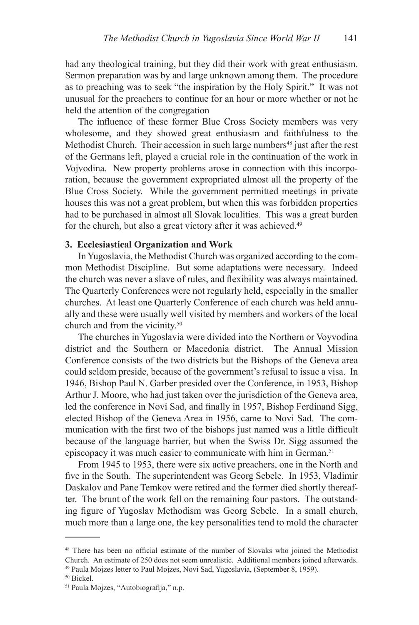had any theological training, but they did their work with great enthusiasm. Sermon preparation was by and large unknown among them. The procedure as to preaching was to seek "the inspiration by the Holy Spirit." It was not unusual for the preachers to continue for an hour or more whether or not he held the attention of the congregation-

The influence of these former Blue Cross Society members was very wholesome, and they showed great enthusiasm and faithfulness to the Methodist Church. Their accession in such large numbers<sup>48</sup> just after the rest of the Germans left, played a crucial role in the continuation of the work in Vojvodina. New property problems arose in connection with this incorporation, because the government expropriated almost all the property of the Blue Cross Society. While the government permitted meetings in private houses this was not a great problem, but when this was forbidden properties had to be purchased in almost all Slovak localities. This was a great burden for the church, but also a great victory after it was achieved.<sup>49</sup>

### **3. Ecclesiastical Organization and Work**

In Yugoslavia, the Methodist Church was organized according to the common Methodist Discipline. But some adaptations were necessary. Indeed the church was never a slave of rules, and flexibility was always maintained. The Quarterly Conferences were not regularly held, especially in the smaller churches. At least one Quarterly Conference of each church was held annually and these were usually well visited by members and workers of the local church and from the vicinity.50

The churches in Yugoslavia were divided into the Northern or Voyvodina district and the Southern or Macedonia district. The Annual Mission Conference consists of the two districts but the Bishops of the Geneva area could seldom preside, because of the government's refusal to issue a visa. In 1946, Bishop Paul N. Garber presided over the Conference, in 1953, Bishop Arthur J. Moore, who had just taken over the jurisdiction of the Geneva area, led the conference in Novi Sad, and finally in 1957, Bishop Ferdinand Sigg, elected Bishop of the Geneva Area in 1956, came to Novi Sad. The communication with the first two of the bishops just named was a little difficult because of the language barrier, but when the Swiss Dr. Sigg assumed the episcopacy it was much easier to communicate with him in German.<sup>51</sup>

From 1945 to 1953, there were six active preachers, one in the North and five in the South. The superintendent was Georg Sebele. In 1953, Vladimir Daskalov and Pane Temkov were retired and the former died shortly thereafter. The brunt of the work fell on the remaining four pastors. The outstanding figure of Yugoslav Methodism was Georg Sebele. In a small church, much more than a large one, the key personalities tend to mold the character

<sup>&</sup>lt;sup>48</sup> There has been no official estimate of the number of Slovaks who joined the Methodist Church. An estimate of 250 does not seem unrealistic. Additional members joined afterwards. 49 Paula Mojzes letter to Paul Mojzes, Novi Sad, Yugoslavia, (September 8, 1959).

<sup>50</sup> Bickel.

<sup>51</sup> Paula Mojzes, "Autobiografija," n.p.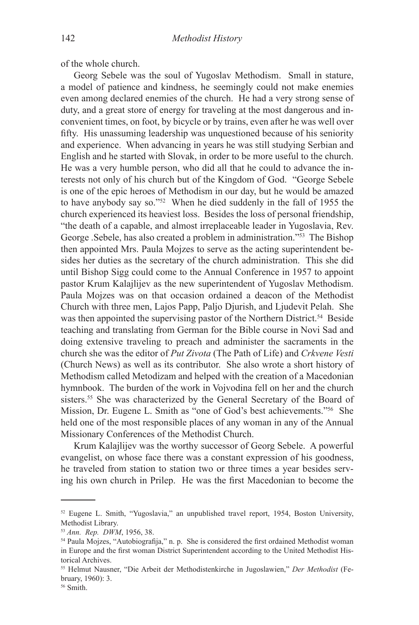of the whole church.

Georg Sebele was the soul of Yugoslav Methodism. Small in stature, a model of patience and kindness, he seemingly could not make enemies even among declared enemies of the church. He had a very strong sense of duty, and a great store of energy for traveling at the most dangerous and inconvenient times, on foot, by bicycle or by trains, even after he was well over fifty. His unassuming leadership was unquestioned because of his seniority and experience. When advancing in years he was still studying Serbian and English and he started with Slovak, in order to be more useful to the church. He was a very humble person, who did all that he could to advance the interests not only of his church but of the Kingdom of God. "George Sebele is one of the epic heroes of Methodism in our day, but he would be amazed to have anybody say so."52 When he died suddenly in the fall of 1955 the church experienced its heaviest loss. Besides the loss of personal friendship, "the death of a capable, and almost irreplaceable leader in Yugoslavia, Rev. George .Sebele, has also created a problem in administration."53 The Bishop then appointed Mrs. Paula Mojzes to serve as the acting superintendent besides her duties as the secretary of the church administration. This she did until Bishop Sigg could come to the Annual Conference in 1957 to appoint pastor Krum Kalajlijev as the new superintendent of Yugoslav Methodism. Paula Mojzes was on that occasion ordained a deacon of the Methodist Church with three men, Lajos Papp, Paljo Djurish, and Ljudevit Pelah. She was then appointed the supervising pastor of the Northern District.<sup>54</sup> Beside teaching and translating from German for the Bible course in Novi Sad and doing extensive traveling to preach and administer the sacraments in the church she was the editor of *Put Zivota* (The Path of Life) and *Crkvene Vesti* (Church News) as well as its contributor. She also wrote a short history of Methodism called Metodizam and helped with the creation of a Macedonian hymnbook. The burden of the work in Vojvodina fell on her and the church sisters.<sup>55</sup> She was characterized by the General Secretary of the Board of Mission, Dr. Eugene L. Smith as "one of God's best achievements."56 She held one of the most responsible places of any woman in any of the Annual Missionary Conferences of the Methodist Church.

Krum Kalajlijev was the worthy successor of Georg Sebele. A powerful evangelist, on whose face there was a constant expression of his goodness, he traveled from station to station two or three times a year besides serving his own church in Prilep. He was the first Macedonian to become the

<sup>52</sup> Eugene L. Smith, "Yugoslavia," an unpublished travel report, 1954, Boston University, Methodist Library.

<sup>53</sup> *Ann. Rep. DWM*, 1956, 38.

<sup>&</sup>lt;sup>54</sup> Paula Mojzes, "Autobiografija," n. p. She is considered the first ordained Methodist woman in Europe and the first woman District Superintendent according to the United Methodist Historical Archives.

<sup>55</sup> Helmut Nausner, "Die Arbeit der Methodistenkirche in Jugoslawien," *Der Methodist* (February, 1960): 3.

<sup>56</sup> Smith.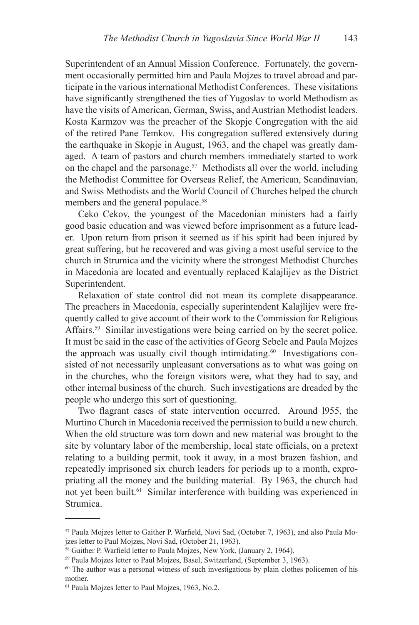Superintendent of an Annual Mission Conference. Fortunately, the government occasionally permitted him and Paula Mojzes to travel abroad and participate in the various international Methodist Conferences. These visitations have significantly strengthened the ties of Yugoslav to world Methodism as have the visits of American, German, Swiss, and Austrian Methodist leaders. Kosta Karmzov was the preacher of the Skopje Congregation with the aid of the retired Pane Temkov. His congregation suffered extensively during the earthquake in Skopje in August, 1963, and the chapel was greatly damaged. A team of pastors and church members immediately started to work on the chapel and the parsonage.<sup>57</sup> Methodists all over the world, including the Methodist Committee for Overseas Relief, the American, Scandinavian, and Swiss Methodists and the World Council of Churches helped the church members and the general populace.<sup>58</sup>

Ceko Cekov, the youngest of the Macedonian ministers had a fairly good basic education and was viewed before imprisonment as a future leader. Upon return from prison it seemed as if his spirit had been injured by great suffering, but he recovered and was giving a most useful service to the church in Strumica and the vicinity where the strongest Methodist Churches in Macedonia are located and eventually replaced Kalajlijev as the District Superintendent.

Relaxation of state control did not mean its complete disappearance. The preachers in Macedonia, especially superintendent Kalajlijev were frequently called to give account of their work to the Commission for Religious Affairs.<sup>59</sup> Similar investigations were being carried on by the secret police. It must be said in the case of the activities of Georg Sebele and Paula Mojzes the approach was usually civil though intimidating.<sup>60</sup> Investigations consisted of not necessarily unpleasant conversations as to what was going on in the churches, who the foreign visitors were, what they had to say, and other internal business of the church. Such investigations are dreaded by the people who undergo this sort of questioning.

Two flagrant cases of state intervention occurred. Around l955, the Murtino Church in Macedonia received the permission to build a new church. When the old structure was torn down and new material was brought to the site by voluntary labor of the membership, local state officials, on a pretext relating to a building permit, took it away, in a most brazen fashion, and repeatedly imprisoned six church leaders for periods up to a month, expropriating all the money and the building material. By 1963, the church had not yet been built.<sup>61</sup> Similar interference with building was experienced in Strumica.

<sup>57</sup> Paula Mojzes letter to Gaither P. Warfield, Novi Sad, (October 7, 1963), and also Paula Mojzes letter to Paul Mojzes, Novi Sad, (October 21, 1963).

<sup>58</sup> Gaither P. Warfield letter to Paula Mojzes, New York, (January 2, 1964).

<sup>59</sup> Paula Mojzes letter to Paul Mojzes, Basel, Switzerland, (September 3, 1963).

 $60$  The author was a personal witness of such investigations by plain clothes policemen of his mother.

<sup>61</sup> Paula Mojzes letter to Paul Mojzes, 1963, No.2.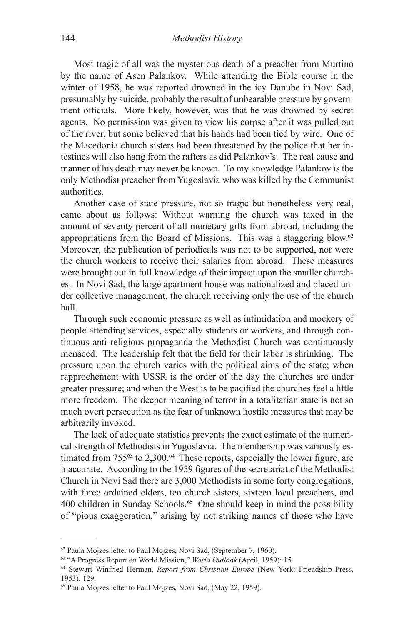Most tragic of all was the mysterious death of a preacher from Murtino by the name of Asen Palankov. While attending the Bible course in the winter of 1958, he was reported drowned in the icy Danube in Novi Sad, presumably by suicide, probably the result of unbearable pressure by government officials. More likely, however, was that he was drowned by secret agents. No permission was given to view his corpse after it was pulled out of the river, but some believed that his hands had been tied by wire. One of the Macedonia church sisters had been threatened by the police that her intestines will also hang from the rafters as did Palankov's. The real cause and manner of his death may never be known. To my knowledge Palankov is the only Methodist preacher from Yugoslavia who was killed by the Communist authorities.

Another case of state pressure, not so tragic but nonetheless very real, came about as follows: Without warning the church was taxed in the amount of seventy percent of all monetary gifts from abroad, including the appropriations from the Board of Missions. This was a staggering blow.62 Moreover, the publication of periodicals was not to be supported, nor were the church workers to receive their salaries from abroad. These measures were brought out in full knowledge of their impact upon the smaller churches. In Novi Sad, the large apartment house was nationalized and placed under collective management, the church receiving only the use of the church hall.

Through such economic pressure as well as intimidation and mockery of people attending services, especially students or workers, and through continuous anti-religious propaganda the Methodist Church was continuously menaced. The leadership felt that the field for their labor is shrinking. The pressure upon the church varies with the political aims of the state; when rapprochement with USSR is the order of the day the churches are under greater pressure; and when the West is to be pacified the churches feel a little more freedom. The deeper meaning of terror in a totalitarian state is not so much overt persecution as the fear of unknown hostile measures that may be arbitrarily invoked.

The lack of adequate statistics prevents the exact estimate of the numerical strength of Methodists in Yugoslavia. The membership was variously estimated from  $755^{63}$  to  $2,300^{64}$  These reports, especially the lower figure, are inaccurate. According to the 1959 figures of the secretariat of the Methodist Church in Novi Sad there are 3,000 Methodists in some forty congregations, with three ordained elders, ten church sisters, sixteen local preachers, and 400 children in Sunday Schools.<sup>65</sup> One should keep in mind the possibility of "pious exaggeration," arising by not striking names of those who have

<sup>62</sup> Paula Mojzes letter to Paul Mojzes, Novi Sad, (September 7, 1960).

<sup>63 &</sup>quot;A Progress Report on World Mission," *World Outlook* (April, 1959): 15.

<sup>64</sup> Stewart Winfried Herman, *Report from Christian Europe* (New York: Friendship Press, 1953), 129.

<sup>65</sup> Paula Mojzes letter to Paul Mojzes, Novi Sad, (May 22, 1959).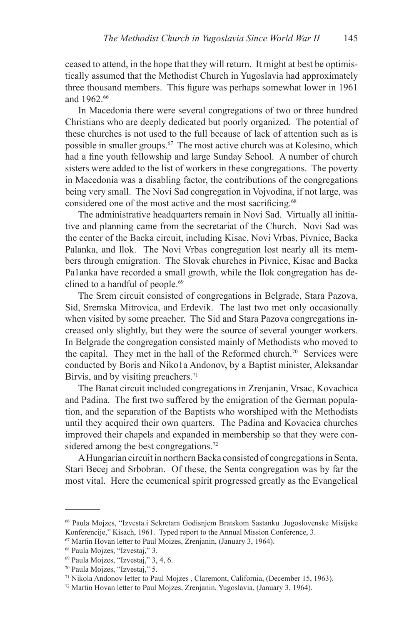ceased to attend, in the hope that they will return. It might at best be optimistically assumed that the Methodist Church in Yugoslavia had approximately three thousand members. This figure was perhaps somewhat lower in 1961 and 1962.<sup>66</sup>

In Macedonia there were several congregations of two or three hundred Christians who are deeply dedicated but poorly organized. The potential of these churches is not used to the full because of lack of attention such as is possible in smaller groups.67 The most active church was at Kolesino, which had a fine youth fellowship and large Sunday School. A number of church sisters were added to the list of workers in these congregations. The poverty in Macedonia was a disabling factor, the contributions of the congregations being very small. The Novi Sad congregation in Vojvodina, if not large, was considered one of the most active and the most sacrificing.<sup>68</sup>

The administrative headquarters remain in Novi Sad. Virtually all initiative and planning came from the secretariat of the Church. Novi Sad was the center of the Backa circuit, including Kisac, Novi Vrbas, Pivnice, Backa Palanka, and llok. The Novi Vrbas congregation lost nearly all its members through emigration. The Slovak churches in Pivnice, Kisac and Backa Pa1anka have recorded a small growth, while the Ilok congregation has declined to a handful of people.<sup>69</sup>

The Srem circuit consisted of congregations in Belgrade, Stara Pazova, Sid, Sremska Mitrovica, and Erdevik. The last two met only occasionally when visited by some preacher. The Sid and Stara Pazova congregations increased only slightly, but they were the source of several younger workers. In Belgrade the congregation consisted mainly of Methodists who moved to the capital. They met in the hall of the Reformed church.<sup>70</sup> Services were conducted by Boris and Niko1a Andonov, by a Baptist minister, Aleksandar Birvis, and by visiting preachers.<sup>71</sup>

The Banat circuit included congregations in Zrenjanin, Vrsac, Kovachica and Padina. The first two suffered by the emigration of the German population, and the separation of the Baptists who worshiped with the Methodists until they acquired their own quarters. The Padina and Kovacica churches improved their chapels and expanded in membership so that they were considered among the best congregations.<sup>72</sup>

A Hungarian circuit in northern Backa consisted of congregations in Senta, Stari Becej and Srbobran. Of these, the Senta congregation was by far the most vital. Here the ecumenical spirit progressed greatly as the Evangelical

<sup>66</sup> Paula Mojzes, "Izvesta.i Sekretara Godisnjem Bratskom Sastanku .Jugoslovenske Misijske Konferencije," Kisach, 1961. Typed report to the Annual Mission Conference, 3.

<sup>67</sup> Martin Hovan letter to Paul Moizes, Zrenjanin, (January 3, 1964).

<sup>68</sup> Paula Mojzes, "Izvestaj," 3.

<sup>69</sup> Paula Mojzes, "Izvestaj," 3, 4, 6.

<sup>70</sup> Paula Mojzes, "Izvestaj," 5.

<sup>71</sup> Nikola Andonov letter to Paul Mojzes , Claremont, California, (December 15, 1963).

<sup>72</sup> Martin Hovan letter to Paul Mojzes, Zrenjanin, Yugoslavia, (January 3, 1964).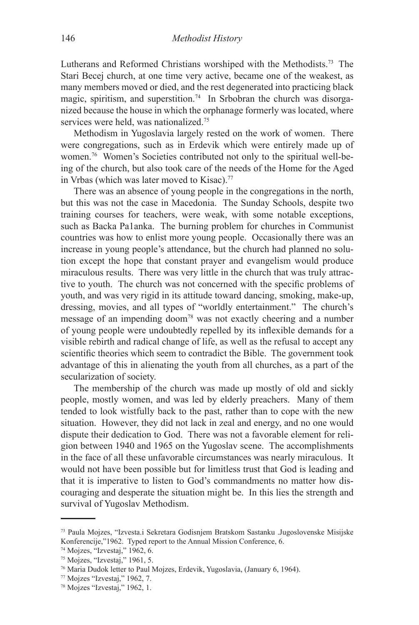Lutherans and Reformed Christians worshiped with the Methodists.73 The Stari Becej church, at one time very active, became one of the weakest, as many members moved or died, and the rest degenerated into practicing black magic, spiritism, and superstition.<sup>74</sup> In Srbobran the church was disorganized because the house in which the orphanage formerly was located, where services were held, was nationalized.<sup>75</sup>

Methodism in Yugoslavia largely rested on the work of women. There were congregations, such as in Erdevik which were entirely made up of women.76 Women's Societies contributed not only to the spiritual well-being of the church, but also took care of the needs of the Home for the Aged in Vrbas (which was later moved to Kisac).<sup>77</sup>

There was an absence of young people in the congregations in the north, but this was not the case in Macedonia. The Sunday Schools, despite two training courses for teachers, were weak, with some notable exceptions, such as Backa Pa1anka. The burning problem for churches in Communist countries was how to enlist more young people. Occasionally there was an increase in young people's attendance, but the church had planned no solution except the hope that constant prayer and evangelism would produce miraculous results. There was very little in the church that was truly attractive to youth. The church was not concerned with the specific problems of youth, and was very rigid in its attitude toward dancing, smoking, make-up, dressing, movies, and all types of "worldly entertainment." The church's message of an impending doom78 was not exactly cheering and a number of young people were undoubtedly repelled by its inflexible demands for a visible rebirth and radical change of life, as well as the refusal to accept any scientific theories which seem to contradict the Bible. The government took advantage of this in alienating the youth from all churches, as a part of the secularization of society.

The membership of the church was made up mostly of old and sickly people, mostly women, and was led by elderly preachers. Many of them tended to look wistfully back to the past, rather than to cope with the new situation. However, they did not lack in zeal and energy, and no one would dispute their dedication to God. There was not a favorable element for religion between 1940 and 1965 on the Yugoslav scene. The accomplishments in the face of all these unfavorable circumstances was nearly miraculous. It would not have been possible but for limitless trust that God is leading and that it is imperative to listen to God's commandments no matter how discouraging and desperate the situation might be. In this lies the strength and survival of Yugoslav Methodism.

<sup>73</sup> Paula Mojzes, "Izvesta.i Sekretara Godisnjem Bratskom Sastanku .Jugoslovenske Misijske Konferencije,"1962. Typed report to the Annual Mission Conference, 6.

<sup>74</sup> Mojzes, "Izvestaj," 1962, 6.

<sup>75</sup> Mojzes, "Izvestaj," 1961, 5.

<sup>76</sup> Maria Dudok letter to Paul Mojzes, Erdevik, Yugoslavia, (January 6, 1964).

 $77$  Mojzes "Izvestaj," 1962, 7.

<sup>78</sup> Mojzes "Izvestaj," 1962, 1.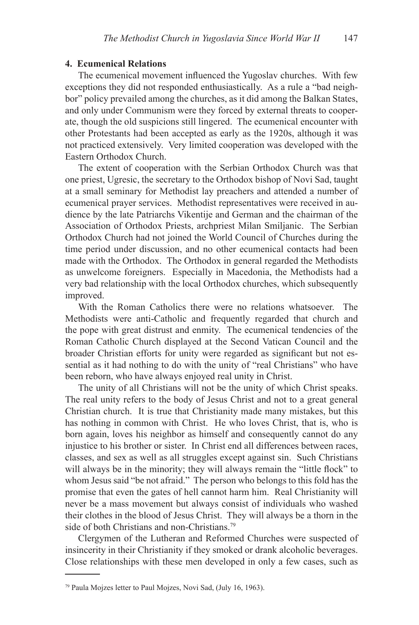### **4. Ecumenical Relations**

The ecumenical movement influenced the Yugoslav churches. With few exceptions they did not responded enthusiastically. As a rule a "bad neighbor" policy prevailed among the churches, as it did among the Balkan States, and only under Communism were they forced by external threats to cooperate, though the old suspicions still lingered. The ecumenical encounter with other Protestants had been accepted as early as the 1920s, although it was not practiced extensively. Very limited cooperation was developed with the Eastern Orthodox Church.

The extent of cooperation with the Serbian Orthodox Church was that one priest, Ugresic, the secretary to the Orthodox bishop of Novi Sad, taught at a small seminary for Methodist lay preachers and attended a number of ecumenical prayer services. Methodist representatives were received in audience by the late Patriarchs Vikentije and German and the chairman of the Association of Orthodox Priests, archpriest Milan Smiljanic. The Serbian Orthodox Church had not joined the World Council of Churches during the time period under discussion, and no other ecumenical contacts had been made with the Orthodox. The Orthodox in general regarded the Methodists as unwelcome foreigners. Especially in Macedonia, the Methodists had a very bad relationship with the local Orthodox churches, which subsequently improved.

With the Roman Catholics there were no relations whatsoever. The Methodists were anti-Catholic and frequently regarded that church and the pope with great distrust and enmity. The ecumenical tendencies of the Roman Catholic Church displayed at the Second Vatican Council and the broader Christian efforts for unity were regarded as significant but not essential as it had nothing to do with the unity of "real Christians" who have been reborn, who have always enjoyed real unity in Christ.

The unity of all Christians will not be the unity of which Christ speaks. The real unity refers to the body of Jesus Christ and not to a great general Christian church. It is true that Christianity made many mistakes, but this has nothing in common with Christ. He who loves Christ, that is, who is born again, loves his neighbor as himself and consequently cannot do any injustice to his brother or sister. In Christ end all differences between races, classes, and sex as well as all struggles except against sin. Such Christians will always be in the minority; they will always remain the "little flock" to whom Jesus said "be not afraid." The person who belongs to this fold has the promise that even the gates of hell cannot harm him. Real Christianity will never be a mass movement but always consist of individuals who washed their clothes in the blood of Jesus Christ. They will always be a thorn in the side of both Christians and non-Christians.79

Clergymen of the Lutheran and Reformed Churches were suspected of insincerity in their Christianity if they smoked or drank alcoholic beverages. Close relationships with these men developed in only a few cases, such as

<sup>79</sup> Paula Mojzes letter to Paul Mojzes, Novi Sad, (July 16, 1963).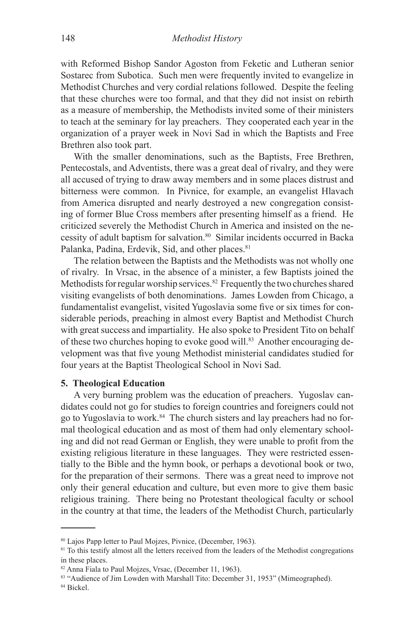with Reformed Bishop Sandor Agoston from Feketic and Lutheran senior Sostarec from Subotica. Such men were frequently invited to evangelize in Methodist Churches and very cordial relations followed. Despite the feeling that these churches were too formal, and that they did not insist on rebirth as a measure of membership, the Methodists invited some of their ministers to teach at the seminary for lay preachers. They cooperated each year in the organization of a prayer week in Novi Sad in which the Baptists and Free Brethren also took part.

With the smaller denominations, such as the Baptists, Free Brethren, Pentecostals, and Adventists, there was a great deal of rivalry, and they were all accused of trying to draw away members and in some places distrust and bitterness were common. In Pivnice, for example, an evangelist Hlavach from America disrupted and nearly destroyed a new congregation consisting of former Blue Cross members after presenting himself as a friend. He criticized severely the Methodist Church in America and insisted on the necessity of adult baptism for salvation.<sup>80</sup> Similar incidents occurred in Backa Palanka, Padina, Erdevik, Sid, and other places.<sup>81</sup>

The relation between the Baptists and the Methodists was not wholly one of rivalry. In Vrsac, in the absence of a minister, a few Baptists joined the Methodists for regular worship services. $82$  Frequently the two churches shared visiting evangelists of both denominations. James Lowden from Chicago, a fundamentalist evangelist, visited Yugoslavia some five or six times for considerable periods, preaching in almost every Baptist and Methodist Church with great success and impartiality. He also spoke to President Tito on behalf of these two churches hoping to evoke good will.<sup>83</sup> Another encouraging development was that five young Methodist ministerial candidates studied for four years at the Baptist Theological School in Novi Sad.

### **5. Theological Education**

A very burning problem was the education of preachers. Yugoslav candidates could not go for studies to foreign countries and foreigners could not go to Yugoslavia to work.84 The church sisters and lay preachers had no formal theological education and as most of them had only elementary schooling and did not read German or English, they were unable to profit from the existing religious literature in these languages. They were restricted essentially to the Bible and the hymn book, or perhaps a devotional book or two, for the preparation of their sermons. There was a great need to improve not only their general education and culture, but even more to give them basic religious training. There being no Protestant theological faculty or school in the country at that time, the leaders of the Methodist Church, particularly

<sup>80</sup> Lajos Papp letter to Paul Mojzes, Pivnice, (December, 1963).

<sup>&</sup>lt;sup>81</sup> To this testify almost all the letters received from the leaders of the Methodist congregations in these places.

<sup>82</sup> Anna Fiala to Paul Mojzes, Vrsac, (December 11, 1963).

<sup>83 &</sup>quot;Audience of Jim Lowden with Marshall Tito: December 31, 1953" (Mimeographed).

<sup>84</sup> Bickel.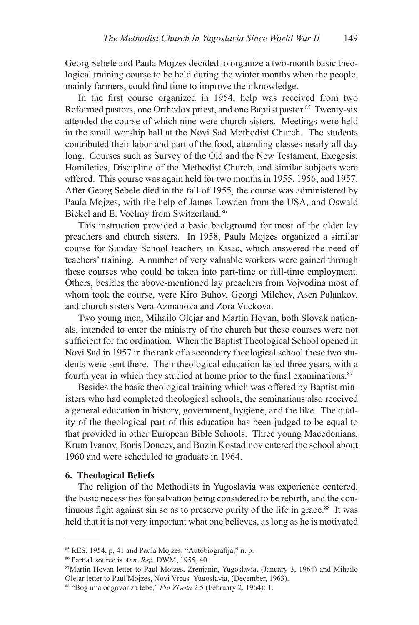Georg Sebele and Paula Mojzes decided to organize a two-month basic theological training course to be held during the winter months when the people, mainly farmers, could find time to improve their knowledge.

In the first course organized in 1954, help was received from two Reformed pastors, one Orthodox priest, and one Baptist pastor.<sup>85</sup> Twenty-six attended the course of which nine were church sisters. Meetings were held in the small worship hall at the Novi Sad Methodist Church. The students contributed their labor and part of the food, attending classes nearly all day long. Courses such as Survey of the Old and the New Testament, Exegesis, Homiletics, Discipline of the Methodist Church, and similar subjects were offered. This course was again held for two months in 1955, 1956, and 1957. After Georg Sebele died in the fall of 1955, the course was administered by Paula Mojzes, with the help of James Lowden from the USA, and Oswald Bickel and E. Voelmy from Switzerland.<sup>86</sup>

This instruction provided a basic background for most of the older lay preachers and church sisters. In 1958, Paula Mojzes organized a similar course for Sunday School teachers in Kisac, which answered the need of teachers' training. A number of very valuable workers were gained through these courses who could be taken into part-time or full-time employment. Others, besides the above-mentioned lay preachers from Vojvodina most of whom took the course, were Kiro Buhov, Georgi Milchev, Asen Palankov, and church sisters Vera Azmanova and Zora Vuckova.

Two young men, Mihailo Olejar and Martin Hovan, both Slovak nationals, intended to enter the ministry of the church but these courses were not sufficient for the ordination. When the Baptist Theological School opened in Novi Sad in 1957 in the rank of a secondary theological school these two students were sent there. Their theological education lasted three years, with a fourth year in which they studied at home prior to the final examinations.<sup>87</sup>

Besides the basic theological training which was offered by Baptist ministers who had completed theological schools, the seminarians also received a general education in history, government, hygiene, and the like. The quality of the theological part of this education has been judged to be equal to that provided in other European Bible Schools. Three young Macedonians, Krum Ivanov, Boris Doncev, and Bozin Kostadinov entered the school about 1960 and were scheduled to graduate in 1964.

#### **6. Theological Beliefs**

The religion of the Methodists in Yugoslavia was experience centered, the basic necessities for salvation being considered to be rebirth, and the continuous fight against sin so as to preserve purity of the life in grace.<sup>88</sup> It was held that it is not very important what one believes, as long as he is motivated

86 Partia1 source is *Ann. Rep.* DWM, 1955, 40.

<sup>85</sup> RES, 1954, p, 41 and Paula Mojzes, "Autobiografija," n. p.

<sup>87</sup>Martin Hovan letter to Paul Mojzes, Zrenjanin, Yugoslavia, (January 3, 1964) and Mihailo Olejar letter to Paul Mojzes, Novi Vrbas*,* Yugoslavia, (December, 1963).

<sup>88 &</sup>quot;Bog ima odgovor za tebe," *Put Zivota* 2.5 (February 2, 1964): 1.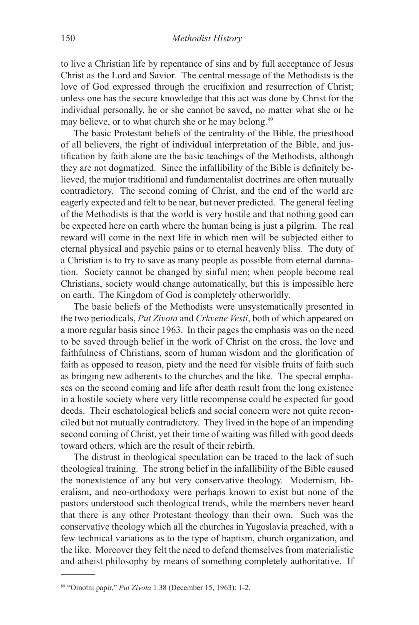to live a Christian life by repentance of sins and by full acceptance of Jesus Christ as the Lord and Savior. The central message of the Methodists is the love of God expressed through the crucifixion and resurrection of Christ; unless one has the secure knowledge that this act was done by Christ for the individual personally, he or she cannot be saved, no matter what she or he may believe, or to what church she or he may belong.<sup>89</sup>

The basic Protestant beliefs of the centrality of the Bible, the priesthood of all believers, the right of individual interpretation of the Bible, and justification by faith alone are the basic teachings of the Methodists, although they are not dogmatized. Since the infallibility of the Bible is definitely believed, the major traditional and fundamentalist doctrines are often mutually contradictory. The second coming of Christ, and the end of the world are eagerly expected and felt to be near, but never predicted. The general feeling of the Methodists is that the world is very hostile and that nothing good can be expected here on earth where the human being is just a pilgrim. The real reward will come in the next life in which men will be subjected either to eternal physical and psychic pains or to eternal heavenly bliss. The duty of a Christian is to try to save as many people as possible from eternal damnation. Society cannot be changed by sinful men; when people become real Christians, society would change automatically, but this is impossible here on earth. The Kingdom of God is completely otherworldly.

The basic beliefs of the Methodists were unsystematically presented in the two periodicals, *Put Zivota* and *Crkvene Vesti*, both of which appeared on a more regular basis since 1963. In their pages the emphasis was on the need to be saved through belief in the work of Christ on the cross, the love and faithfulness of Christians, scorn of human wisdom and the glorification of faith as opposed to reason, piety and the need for visible fruits of faith such as bringing new adherents to the churches and the like. The special emphases on the second coming and life after death result from the long existence in a hostile society where very little recompense could be expected for good deeds. Their eschatological beliefs and social concern were not quite reconciled but not mutually contradictory. They lived in the hope of an impending second coming of Christ, yet their time of waiting was filled with good deeds toward others, which are the result of their rebirth.

The distrust in theological speculation can be traced to the lack of such theological training. The strong belief in the infallibility of the Bible caused the nonexistence of any but very conservative theology. Modernism, liberalism, and neo-orthodoxy were perhaps known to exist but none of the pastors understood such theological trends, while the members never heard that there is any other Protestant theology than their own. Such was the conservative theology which all the churches in Yugoslavia preached, with a few technical variations as to the type of baptism, church organization, and the like. Moreover they felt the need to defend themselves from materialistic and atheist philosophy by means of something completely authoritative. If

<sup>89 &</sup>quot;Omotni papir," *Put Zivota* 1.38 (December 15, 1963): 1-2.